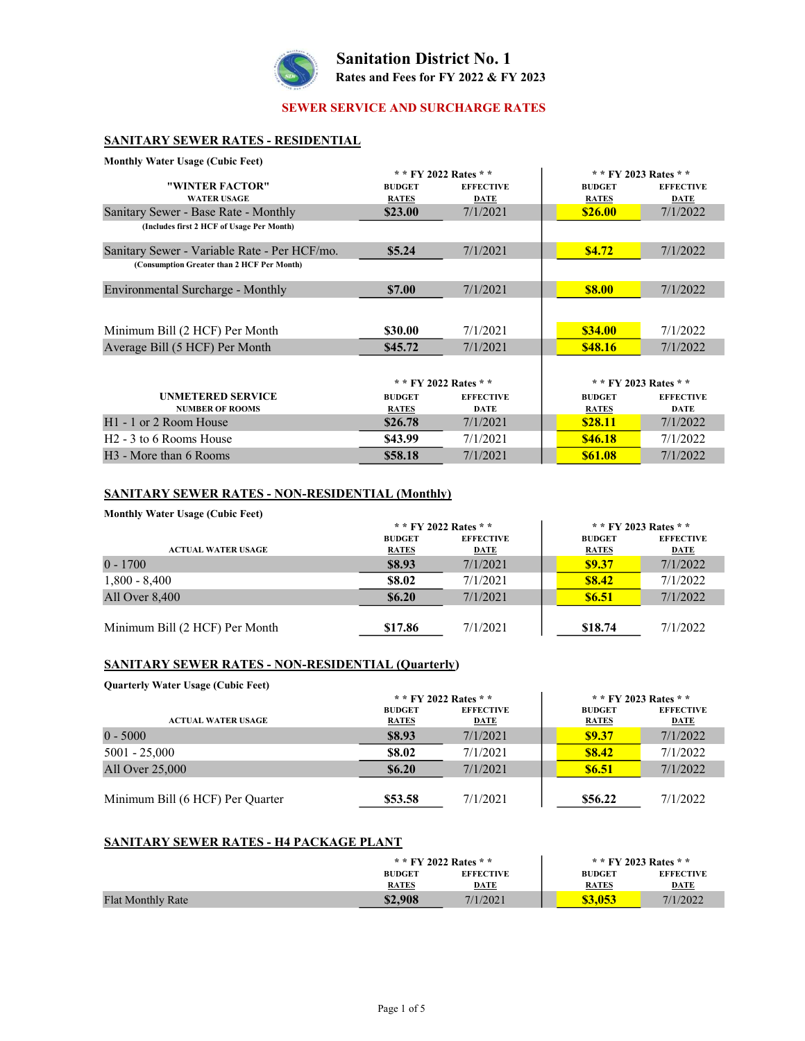

Sanitation District No. 1 Rates and Fees for FY 2022 & FY 2023

### SEWER SERVICE AND SURCHARGE RATES

## SANITARY SEWER RATES - RESIDENTIAL

| <b>Monthly Water Usage (Cubic Feet)</b>      |               |                       |                |                       |
|----------------------------------------------|---------------|-----------------------|----------------|-----------------------|
|                                              |               | * * FY 2022 Rates * * |                | * * FY 2023 Rates * * |
| "WINTER FACTOR"                              | <b>BUDGET</b> | <b>EFFECTIVE</b>      | <b>BUDGET</b>  | <b>EFFECTIVE</b>      |
| <b>WATER USAGE</b>                           | <b>RATES</b>  | DATE                  | <b>RATES</b>   | <b>DATE</b>           |
| Sanitary Sewer - Base Rate - Monthly         | \$23.00       | 7/1/2021              | \$26.00        | 7/1/2022              |
| (Includes first 2 HCF of Usage Per Month)    |               |                       |                |                       |
| Sanitary Sewer - Variable Rate - Per HCF/mo. | \$5.24        | 7/1/2021              | \$4.72         | 7/1/2022              |
| (Consumption Greater than 2 HCF Per Month)   |               |                       |                |                       |
| Environmental Surcharge - Monthly            | \$7.00        | 7/1/2021              | <b>\$8.00</b>  | 7/1/2022              |
| Minimum Bill (2 HCF) Per Month               | \$30.00       | 7/1/2021              | \$34.00        | 7/1/2022              |
| Average Bill (5 HCF) Per Month               | \$45.72       | 7/1/2021              | \$48.16        | 7/1/2022              |
|                                              |               | * * FY 2022 Rates * * |                | * * FY 2023 Rates * * |
| <b>UNMETERED SERVICE</b>                     | <b>BUDGET</b> | <b>EFFECTIVE</b>      | <b>BUDGET</b>  | <b>EFFECTIVE</b>      |
| <b>NUMBER OF ROOMS</b>                       | <b>RATES</b>  | <b>DATE</b>           | <b>RATES</b>   | <b>DATE</b>           |
| H <sub>1</sub> - 1 or 2 Room House           | \$26.78       | 7/1/2021              | <b>\$28.11</b> | 7/1/2022              |
| H <sub>2</sub> - 3 to 6 Rooms House          | \$43.99       | 7/1/2021              | <b>\$46.18</b> | 7/1/2022              |
| H <sub>3</sub> - More than 6 Rooms           | \$58.18       | 7/1/2021              | \$61.08        | 7/1/2022              |

#### SANITARY SEWER RATES - NON-RESIDENTIAL (Monthly)

Monthly Water Usage (Cubic Feet)

|                                | * * FY 2022 Rates * * |                  | * * FY 2023 Rates * * |                  |
|--------------------------------|-----------------------|------------------|-----------------------|------------------|
|                                | <b>BUDGET</b>         | <b>EFFECTIVE</b> | <b>BUDGET</b>         | <b>EFFECTIVE</b> |
| <b>ACTUAL WATER USAGE</b>      | <b>RATES</b>          | <b>DATE</b>      | <b>RATES</b>          | <b>DATE</b>      |
| $0 - 1700$                     | \$8.93                | 7/1/2021         | <b>\$9.37</b>         | 7/1/2022         |
| $1,800 - 8,400$                | \$8.02                | 7/1/2021         | <b>S8.42</b>          | 7/1/2022         |
| All Over 8,400                 | \$6.20                | 7/1/2021         | <b>\$6.51</b>         | 7/1/2022         |
|                                |                       |                  |                       |                  |
| Minimum Bill (2 HCF) Per Month | \$17.86               | 7/1/2021         | \$18.74               | 7/1/2022         |

#### SANITARY SEWER RATES - NON-RESIDENTIAL (Quarterly)

Quarterly Water Usage (Cubic Feet)

|                                  | * * FY 2022 Rates * *         |                                 | * * FY 2023 Rates * *         |                                 |
|----------------------------------|-------------------------------|---------------------------------|-------------------------------|---------------------------------|
| <b>ACTUAL WATER USAGE</b>        | <b>BUDGET</b><br><b>RATES</b> | <b>EFFECTIVE</b><br><b>DATE</b> | <b>BUDGET</b><br><b>RATES</b> | <b>EFFECTIVE</b><br><b>DATE</b> |
| $0 - 5000$                       | \$8.93                        | 7/1/2021                        | \$9.37                        | 7/1/2022                        |
| $5001 - 25,000$                  | \$8.02                        | 7/1/2021                        | <b>\$8.42</b>                 | 7/1/2022                        |
| All Over 25,000                  | \$6.20                        | 7/1/2021                        | <b>\$6.51</b>                 | 7/1/2022                        |
| Minimum Bill (6 HCF) Per Quarter | \$53.58                       | 7/1/2021                        | \$56.22                       | 7/1/2022                        |

#### SANITARY SEWER RATES - H4 PACKAGE PLANT

|                          | * * FY 2022 Rates * * |                  | * * FY 2023 Rates * * |                  |
|--------------------------|-----------------------|------------------|-----------------------|------------------|
|                          | <b>BUDGET</b>         | <b>EFFECTIVE</b> | <b>BUDGET</b>         | <b>EFFECTIVE</b> |
|                          | <b>RATES</b>          | <b>DATE</b>      | <b>RATES</b>          | <b>DATE</b>      |
| <b>Flat Monthly Rate</b> | \$2,908               | 7/1/2021         | \$3.053               | 7/1/2022         |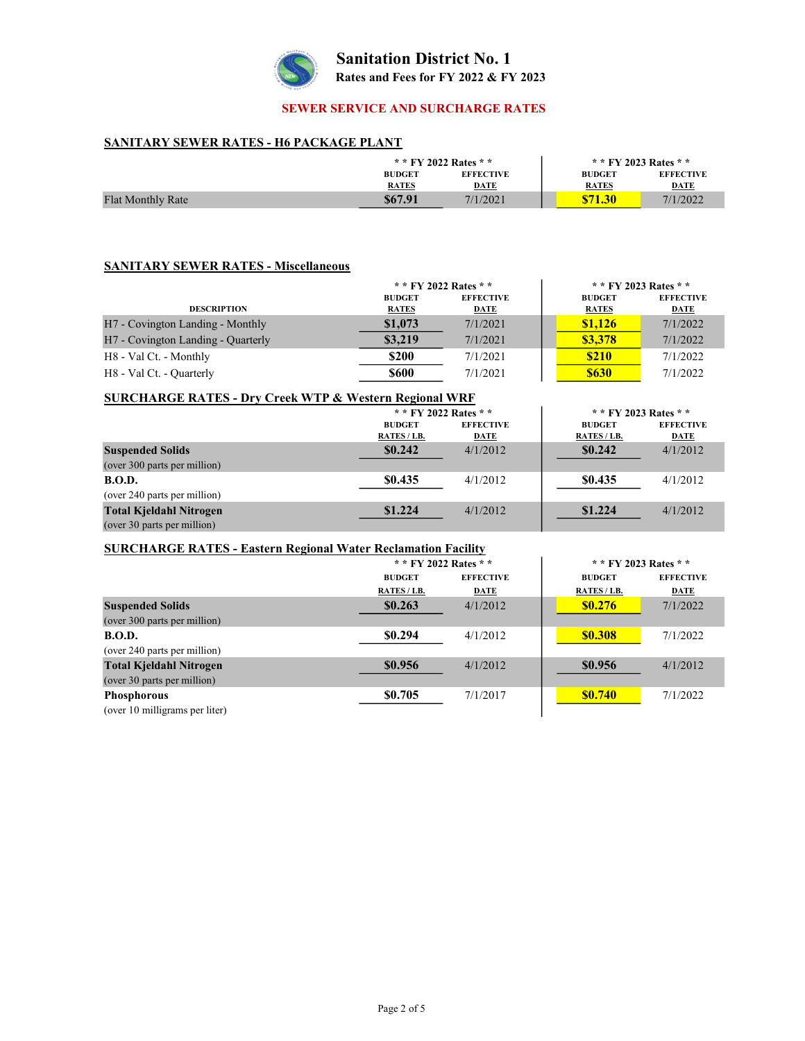

# Sanitation District No. 1 Rates and Fees for FY 2022 & FY 2023

## SEWER SERVICE AND SURCHARGE RATES

#### SANITARY SEWER RATES - H6 PACKAGE PLANT

|                          | * * FY 2022 Rates * *         |                                 | * * FY 2023 Rates * *         |                                 |
|--------------------------|-------------------------------|---------------------------------|-------------------------------|---------------------------------|
|                          | <b>BUDGET</b><br><b>RATES</b> | <b>EFFECTIVE</b><br><b>DATE</b> | <b>BUDGET</b><br><b>RATES</b> | <b>EFFECTIVE</b><br><b>DATE</b> |
| <b>Flat Monthly Rate</b> | \$67.91                       | 7/1/2021                        | \$71.30                       | 7/1/2022                        |

#### SANITARY SEWER RATES - Miscellaneous

|                                                | * * FY 2022 Rates * * |                  | * * FY 2023 Rates * * |                  |
|------------------------------------------------|-----------------------|------------------|-----------------------|------------------|
|                                                | <b>BUDGET</b>         | <b>EFFECTIVE</b> | <b>BUDGET</b>         | <b>EFFECTIVE</b> |
| <b>DESCRIPTION</b>                             | <b>RATES</b>          | <b>DATE</b>      | <b>RATES</b>          | <b>DATE</b>      |
| H <sub>7</sub> - Covington Landing - Monthly   | \$1,073               | 7/1/2021         | \$1,126               | 7/1/2022         |
| H <sub>7</sub> - Covington Landing - Quarterly | \$3,219               | 7/1/2021         | \$3,378               | 7/1/2022         |
| H8 - Val Ct. - Monthly                         | \$200                 | 7/1/2021         | <b>\$210</b>          | 7/1/2022         |
| H8 - Val Ct. - Quarterly                       | <b>\$600</b>          | 7/1/2021         | <b>\$630</b>          | 7/1/2022         |

#### SURCHARGE RATES - Dry Creek WTP & Western Regional WRF \* \* FY 2022 Rates \* \*  $* * FY 2023 Rates * *$

|                                | <b>BUDGET</b> | <b>EFFECTIVE</b> | <b>BUDGET</b> | <b>EFFECTIVE</b> |
|--------------------------------|---------------|------------------|---------------|------------------|
|                                | RATES/LB.     | DATE             | RATES/LB.     | DATE             |
| <b>Suspended Solids</b>        | \$0.242       | 4/1/2012         | \$0.242       | 4/1/2012         |
| (over 300 parts per million)   |               |                  |               |                  |
| <b>B.O.D.</b>                  | \$0.435       | 4/1/2012         | \$0.435       | 4/1/2012         |
| (over 240 parts per million)   |               |                  |               |                  |
| <b>Total Kjeldahl Nitrogen</b> | \$1.224       | 4/1/2012         | \$1.224       | 4/1/2012         |
| (over 30 parts per million)    |               |                  |               |                  |

#### SURCHARGE RATES - Eastern Regional Water Reclamation Facility

|                                | * * FY 2022 Rates * * |                  | * * FY 2023 Rates * * |                  |
|--------------------------------|-----------------------|------------------|-----------------------|------------------|
|                                | <b>BUDGET</b>         | <b>EFFECTIVE</b> | <b>BUDGET</b>         | <b>EFFECTIVE</b> |
|                                | RATES / LB.           | DATE             | RATES/LB.             | DATE             |
| <b>Suspended Solids</b>        | \$0.263               | 4/1/2012         | <b>\$0.276</b>        | 7/1/2022         |
| (over 300 parts per million)   |                       |                  |                       |                  |
| <b>B.O.D.</b>                  | \$0.294               | 4/1/2012         | <b>\$0.308</b>        | 7/1/2022         |
| (over 240 parts per million)   |                       |                  |                       |                  |
| <b>Total Kjeldahl Nitrogen</b> | \$0.956               | 4/1/2012         | \$0.956               | 4/1/2012         |
| (over 30 parts per million)    |                       |                  |                       |                  |
| <b>Phosphorous</b>             | \$0.705               | 7/1/2017         | <b>SO.740</b>         | 7/1/2022         |
| (over 10 milligrams per liter) |                       |                  |                       |                  |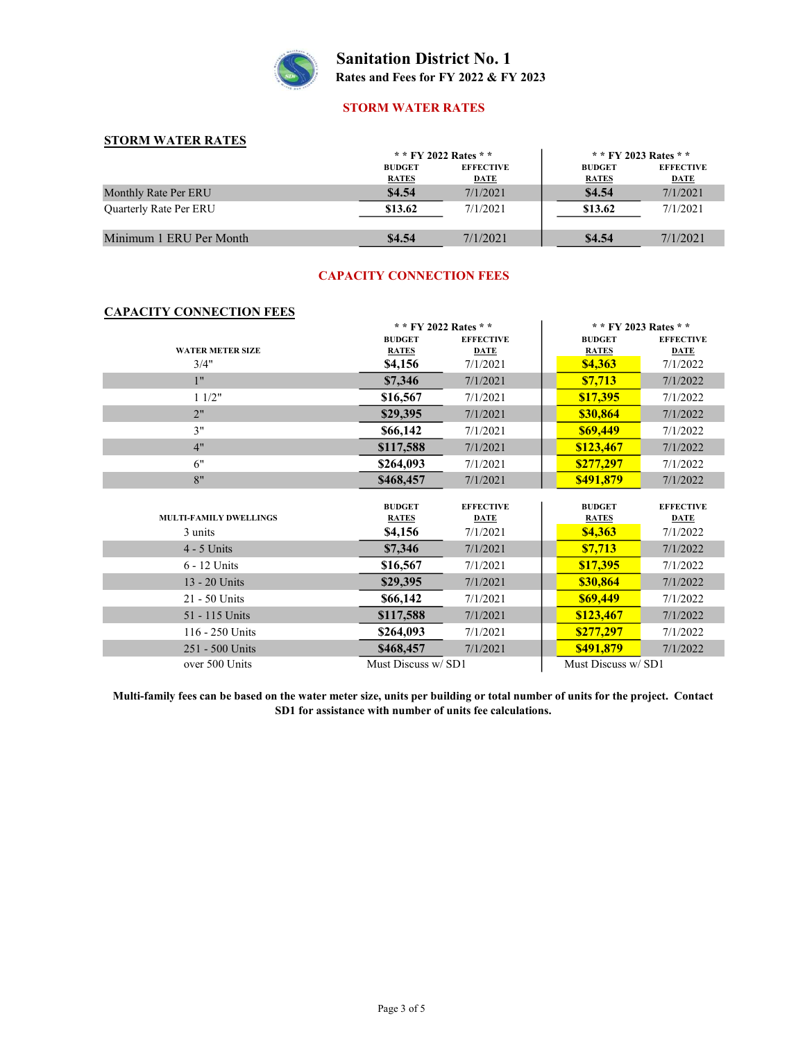

Sanitation District No. 1 Rates and Fees for FY 2022 & FY 2023

#### STORM WATER RATES

## STORM WATER RATES

|                               | * * FY 2022 Rates * *         |                                 | * * FY 2023 Rates * *         |                                 |
|-------------------------------|-------------------------------|---------------------------------|-------------------------------|---------------------------------|
|                               | <b>BUDGET</b><br><b>RATES</b> | <b>EFFECTIVE</b><br><b>DATE</b> | <b>BUDGET</b><br><b>RATES</b> | <b>EFFECTIVE</b><br><b>DATE</b> |
| Monthly Rate Per ERU          | \$4.54                        | 7/1/2021                        | \$4.54                        | 7/1/2021                        |
| <b>Ouarterly Rate Per ERU</b> | \$13.62                       | 7/1/2021                        | \$13.62                       | 7/1/2021                        |
| Minimum 1 ERU Per Month       | \$4.54                        | 7/1/2021                        | \$4.54                        | 7/1/2021                        |

## CAPACITY CONNECTION FEES

## CAPACITY CONNECTION FEES

|                               | * * FY 2022 Rates * * |                  | ** FY 2023 Rates ** |                  |
|-------------------------------|-----------------------|------------------|---------------------|------------------|
|                               | <b>BUDGET</b>         | <b>EFFECTIVE</b> | <b>BUDGET</b>       | <b>EFFECTIVE</b> |
| <b>WATER METER SIZE</b>       | <b>RATES</b>          | <b>DATE</b>      | <b>RATES</b>        | <b>DATE</b>      |
| 3/4"                          | \$4,156               | 7/1/2021         | <b>\$4,363</b>      | 7/1/2022         |
| 1"                            | \$7,346               | 7/1/2021         | \$7,713             | 7/1/2022         |
| 11/2"                         | \$16,567              | 7/1/2021         | \$17,395            | 7/1/2022         |
| 2"                            | \$29,395              | 7/1/2021         | \$30,864            | 7/1/2022         |
| 3"                            | \$66,142              | 7/1/2021         | \$69,449            | 7/1/2022         |
| 4"                            | \$117,588             | 7/1/2021         | \$123,467           | 7/1/2022         |
| 6"                            | \$264,093             | 7/1/2021         | \$277,297           | 7/1/2022         |
| 8"                            | \$468,457             | 7/1/2021         | \$491,879           | 7/1/2022         |
|                               | <b>BUDGET</b>         | <b>EFFECTIVE</b> | <b>BUDGET</b>       | <b>EFFECTIVE</b> |
| <b>MULTI-FAMILY DWELLINGS</b> | <b>RATES</b>          | <b>DATE</b>      | <b>RATES</b>        | <b>DATE</b>      |
| 3 units                       | \$4,156               | 7/1/2021         | <b>\$4,363</b>      | 7/1/2022         |
| $4 - 5$ Units                 | \$7,346               | 7/1/2021         | \$7,713             | 7/1/2022         |
| $6 - 12$ Units                | \$16,567              | 7/1/2021         | \$17,395            | 7/1/2022         |
| 13 - 20 Units                 | \$29,395              | 7/1/2021         | \$30,864            | 7/1/2022         |
| 21 - 50 Units                 | \$66,142              | 7/1/2021         | \$69,449            | 7/1/2022         |
| 51 - 115 Units                | \$117,588             | 7/1/2021         | \$123,467           | 7/1/2022         |
| 116 - 250 Units               | \$264,093             | 7/1/2021         | \$277,297           | 7/1/2022         |
| 251 - 500 Units               | \$468,457             | 7/1/2021         | \$491,879           | 7/1/2022         |
| over 500 Units                | Must Discuss w/ SD1   |                  | Must Discuss w/ SD1 |                  |

Multi-family fees can be based on the water meter size, units per building or total number of units for the project. Contact SD1 for assistance with number of units fee calculations.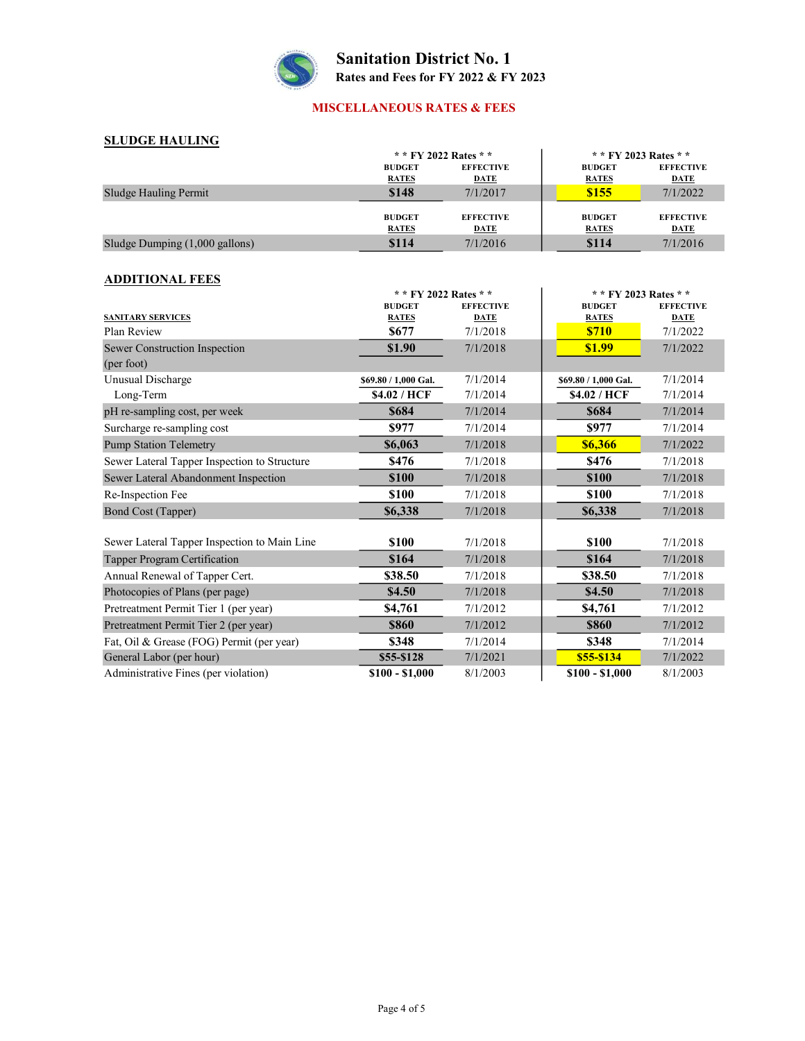

## MISCELLANEOUS RATES & FEES

## SLUDGE HAULING

| эророе пасенто                           |                                   |                  |                       |                  |
|------------------------------------------|-----------------------------------|------------------|-----------------------|------------------|
|                                          | * * FY 2022 Rates * *             |                  | * * FY 2023 Rates * * |                  |
|                                          | <b>EFFECTIVE</b><br><b>BUDGET</b> |                  | <b>BUDGET</b>         | <b>EFFECTIVE</b> |
|                                          | <b>RATES</b>                      | <b>DATE</b>      | <b>RATES</b>          | <b>DATE</b>      |
| Sludge Hauling Permit                    | \$148                             | 7/1/2017         | \$155                 | 7/1/2022         |
|                                          |                                   |                  |                       |                  |
|                                          | <b>BUDGET</b>                     | <b>EFFECTIVE</b> | <b>BUDGET</b>         | <b>EFFECTIVE</b> |
|                                          | <b>RATES</b>                      | DATE             | <b>RATES</b>          | <b>DATE</b>      |
| Sludge Dumping $(1,000 \text{ gallons})$ | \$114                             | 7/1/2016         | \$114                 | 7/1/2016         |

## ADDITIONAL FEES

| ADDI HUNAL FEED                              |                      |                       |                      |                       |  |
|----------------------------------------------|----------------------|-----------------------|----------------------|-----------------------|--|
|                                              |                      | * * FY 2022 Rates * * |                      | * * FY 2023 Rates * * |  |
|                                              | <b>BUDGET</b>        | <b>EFFECTIVE</b>      | <b>BUDGET</b>        | <b>EFFECTIVE</b>      |  |
| <b>SANITARY SERVICES</b>                     | <b>RATES</b>         | <b>DATE</b>           | <b>RATES</b>         | <b>DATE</b>           |  |
| Plan Review                                  | \$677                | 7/1/2018              | <b>\$710</b>         | 7/1/2022              |  |
| Sewer Construction Inspection                | \$1.90               | 7/1/2018              | \$1.99               | 7/1/2022              |  |
| (per foot)                                   |                      |                       |                      |                       |  |
| Unusual Discharge                            | \$69.80 / 1,000 Gal. | 7/1/2014              | \$69.80 / 1,000 Gal. | 7/1/2014              |  |
| Long-Term                                    | \$4.02 / HCF         | 7/1/2014              | \$4.02 / HCF         | 7/1/2014              |  |
| pH re-sampling cost, per week                | \$684                | 7/1/2014              | \$684                | 7/1/2014              |  |
| Surcharge re-sampling cost                   | \$977                | 7/1/2014              | \$977                | 7/1/2014              |  |
| <b>Pump Station Telemetry</b>                | \$6,063              | 7/1/2018              | \$6,366              | 7/1/2022              |  |
| Sewer Lateral Tapper Inspection to Structure | \$476                | 7/1/2018              | \$476                | 7/1/2018              |  |
| Sewer Lateral Abandonment Inspection         | \$100                | 7/1/2018              | \$100                | 7/1/2018              |  |
| Re-Inspection Fee                            | \$100                | 7/1/2018              | \$100                | 7/1/2018              |  |
| Bond Cost (Tapper)                           | \$6,338              | 7/1/2018              | \$6,338              | 7/1/2018              |  |
|                                              |                      |                       |                      |                       |  |
| Sewer Lateral Tapper Inspection to Main Line | \$100                | 7/1/2018              | \$100                | 7/1/2018              |  |
| Tapper Program Certification                 | \$164                | 7/1/2018              | \$164                | 7/1/2018              |  |
| Annual Renewal of Tapper Cert.               | \$38.50              | 7/1/2018              | \$38.50              | 7/1/2018              |  |
| Photocopies of Plans (per page)              | \$4.50               | 7/1/2018              | \$4.50               | 7/1/2018              |  |
| Pretreatment Permit Tier 1 (per year)        | \$4,761              | 7/1/2012              | \$4,761              | 7/1/2012              |  |
| Pretreatment Permit Tier 2 (per year)        | \$860                | 7/1/2012              | \$860                | 7/1/2012              |  |
| Fat, Oil & Grease (FOG) Permit (per year)    | \$348                | 7/1/2014              | \$348                | 7/1/2014              |  |
| General Labor (per hour)                     | \$55-\$128           | 7/1/2021              | \$55-\$134           | 7/1/2022              |  |
| Administrative Fines (per violation)         | $$100 - $1,000$      | 8/1/2003              | $$100 - $1,000$      | 8/1/2003              |  |